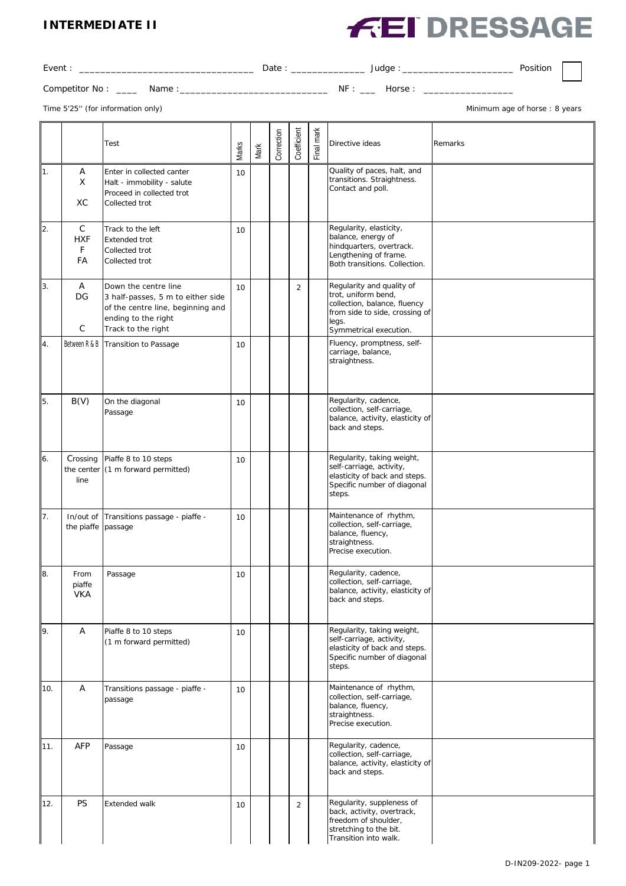#### **INTERMEDIATE II**

# **FEI DRESSAGE**

| Event:                                       | Date: | __ Judge : _______________ | Position                      |
|----------------------------------------------|-------|----------------------------|-------------------------------|
| Competitor No : ______ Name : ______________ |       | NF: Horse:                 |                               |
| Time 5'25" (for information only)            |       |                            | Minimum age of horse: 8 years |
|                                              |       |                            |                               |

|           |                                       | Test                                                                                                                                        | Marks | Mark | Correction | Coefficient    | Final mark | Directive ideas<br>Remarks                                                                                                                            |
|-----------|---------------------------------------|---------------------------------------------------------------------------------------------------------------------------------------------|-------|------|------------|----------------|------------|-------------------------------------------------------------------------------------------------------------------------------------------------------|
| 11.       | Α<br>X<br><b>XC</b>                   | Enter in collected canter<br>Halt - immobility - salute<br>Proceed in collected trot<br>Collected trot                                      | 10    |      |            |                |            | Quality of paces, halt, and<br>transitions. Straightness.<br>Contact and poll.                                                                        |
| 2.        | $\mathsf{C}$<br><b>HXF</b><br>F<br>FA | Track to the left<br><b>Extended trot</b><br>Collected trot<br>Collected trot                                                               | 10    |      |            |                |            | Regularity, elasticity,<br>balance, energy of<br>hindquarters, overtrack.<br>Lengthening of frame.<br>Both transitions. Collection.                   |
| 13.       | Α<br>DG<br>$\mathsf{C}$               | Down the centre line<br>3 half-passes, 5 m to either side<br>of the centre line, beginning and<br>ending to the right<br>Track to the right | 10    |      |            | $\overline{2}$ |            | Regularity and quality of<br>trot, uniform bend,<br>collection, balance, fluency<br>from side to side, crossing of<br>legs.<br>Symmetrical execution. |
| 14.       | Between R & B                         | Transition to Passage                                                                                                                       | 10    |      |            |                |            | Fluency, promptness, self-<br>carriage, balance,<br>straightness.                                                                                     |
| <b>5.</b> | B(V)                                  | On the diagonal<br>Passage                                                                                                                  | 10    |      |            |                |            | Regularity, cadence,<br>collection, self-carriage,<br>balance, activity, elasticity of<br>back and steps.                                             |
| 6.        | Crossing<br>the center<br>line        | Piaffe 8 to 10 steps<br>(1 m forward permitted)                                                                                             | 10    |      |            |                |            | Regularity, taking weight,<br>self-carriage, activity,<br>elasticity of back and steps.<br>Specific number of diagonal<br>steps.                      |
| 17.       | In/out of<br>the piaffe passage       | Transitions passage - piaffe -                                                                                                              | 10    |      |            |                |            | Maintenance of rhythm,<br>collection, self-carriage,<br>balance, fluency,<br>straightness.<br>Precise execution.                                      |
| 8.        | From<br>piaffe<br><b>VKA</b>          | Passage                                                                                                                                     | 10    |      |            |                |            | Regularity, cadence,<br>collection, self-carriage,<br>balance, activity, elasticity of<br>back and steps.                                             |
| 9.        | Α                                     | Piaffe 8 to 10 steps<br>(1 m forward permitted)                                                                                             | 10    |      |            |                |            | Regularity, taking weight,<br>self-carriage, activity,<br>elasticity of back and steps.<br>Specific number of diagonal<br>steps.                      |
| 10.       | Α                                     | Transitions passage - piaffe -<br>passage                                                                                                   | 10    |      |            |                |            | Maintenance of rhythm,<br>collection, self-carriage,<br>balance, fluency,<br>straightness.<br>Precise execution.                                      |
| 11.       | <b>AFP</b>                            | Passage                                                                                                                                     | 10    |      |            |                |            | Regularity, cadence,<br>collection, self-carriage,<br>balance, activity, elasticity of<br>back and steps.                                             |
| 12.       | <b>PS</b>                             | <b>Extended walk</b>                                                                                                                        | 10    |      |            | $\overline{2}$ |            | Regularity, suppleness of<br>back, activity, overtrack,<br>freedom of shoulder,<br>stretching to the bit.<br>Transition into walk.                    |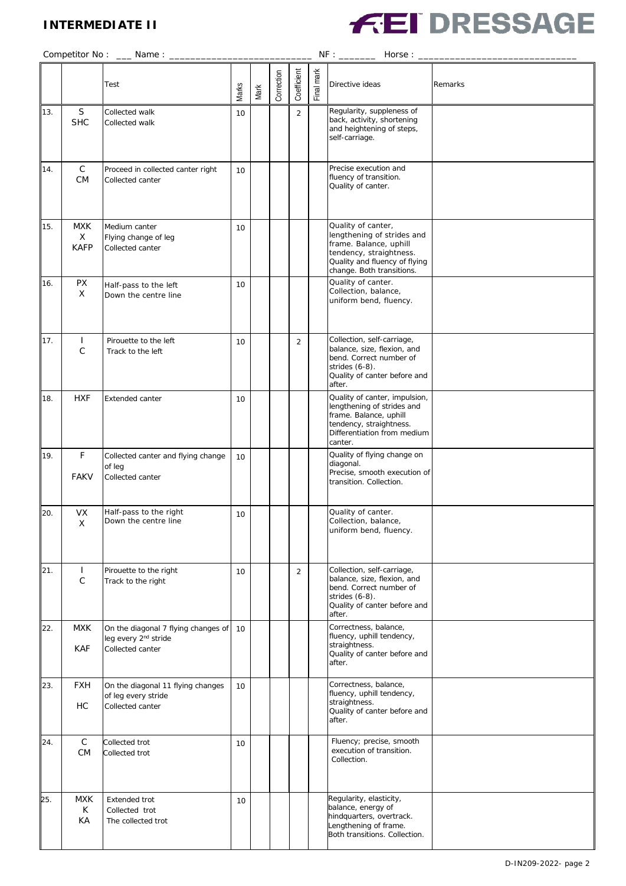## **INTERMEDIATE II**



|     |                                | Test                                                                                        | Marks | Mark | Correction | Coefficient    | Final mark | Directive ideas                                                                                                                                                     | Remarks |
|-----|--------------------------------|---------------------------------------------------------------------------------------------|-------|------|------------|----------------|------------|---------------------------------------------------------------------------------------------------------------------------------------------------------------------|---------|
| 13. | S<br><b>SHC</b>                | Collected walk<br>Collected walk                                                            | 10    |      |            | $\overline{2}$ |            | Regularity, suppleness of<br>back, activity, shortening<br>and heightening of steps,<br>self-carriage.                                                              |         |
| 14. | $\mathsf C$<br><b>CM</b>       | Proceed in collected canter right<br>Collected canter                                       | 10    |      |            |                |            | Precise execution and<br>fluency of transition.<br>Quality of canter.                                                                                               |         |
| 15. | <b>MXK</b><br>X<br><b>KAFP</b> | Medium canter<br>Flying change of leg<br>Collected canter                                   | 10    |      |            |                |            | Quality of canter,<br>lengthening of strides and<br>frame. Balance, uphill<br>tendency, straightness.<br>Quality and fluency of flying<br>change. Both transitions. |         |
| 16. | <b>PX</b><br>X                 | Half-pass to the left<br>Down the centre line                                               | 10    |      |            |                |            | Quality of canter.<br>Collection, balance,<br>uniform bend, fluency.                                                                                                |         |
| 17. | $\mathbf{I}$<br>$\mathsf{C}$   | Pirouette to the left<br>Track to the left                                                  | 10    |      |            | 2              |            | Collection, self-carriage,<br>balance, size, flexion, and<br>bend. Correct number of<br>strides $(6-8)$ .<br>Quality of canter before and<br>after.                 |         |
| 18. | <b>HXF</b>                     | Extended canter                                                                             | 10    |      |            |                |            | Quality of canter, impulsion,<br>lengthening of strides and<br>frame. Balance, uphill<br>tendency, straightness.<br>Differentiation from medium<br>canter.          |         |
| 19. | F<br><b>FAKV</b>               | Collected canter and flying change<br>of leg<br>Collected canter                            | 10    |      |            |                |            | Quality of flying change on<br>diagonal.<br>Precise, smooth execution of<br>transition. Collection.                                                                 |         |
| 20. | <b>VX</b><br>X                 | Half-pass to the right<br>Down the centre line                                              | 10    |      |            |                |            | Quality of canter.<br>Collection, balance,<br>uniform bend, fluency.                                                                                                |         |
| 21. | $\mathbf{I}$<br>$\mathsf C$    | Pirouette to the right<br>Track to the right                                                | 10    |      |            | $\overline{2}$ |            | Collection, self-carriage,<br>balance, size, flexion, and<br>bend. Correct number of<br>strides $(6-8)$ .<br>Quality of canter before and<br>after.                 |         |
| 22. | <b>MXK</b><br><b>KAF</b>       | On the diagonal 7 flying changes of<br>leg every 2 <sup>nd</sup> stride<br>Collected canter | 10    |      |            |                |            | Correctness, balance,<br>fluency, uphill tendency,<br>straightness.<br>Quality of canter before and<br>after.                                                       |         |
| 23. | <b>FXH</b><br>НC               | On the diagonal 11 flying changes<br>of leg every stride<br>Collected canter                | 10    |      |            |                |            | Correctness, balance,<br>fluency, uphill tendency,<br>straightness.<br>Quality of canter before and<br>after.                                                       |         |
| 24. | $\mathsf C$<br>CM              | Collected trot<br>Collected trot                                                            | 10    |      |            |                |            | Fluency; precise, smooth<br>execution of transition.<br>Collection.                                                                                                 |         |
| 25. | <b>MXK</b><br>К<br>KA          | Extended trot<br>Collected trot<br>The collected trot                                       | 10    |      |            |                |            | Regularity, elasticity,<br>balance, energy of<br>hindquarters, overtrack.<br>Lengthening of frame.<br>Both transitions. Collection.                                 |         |